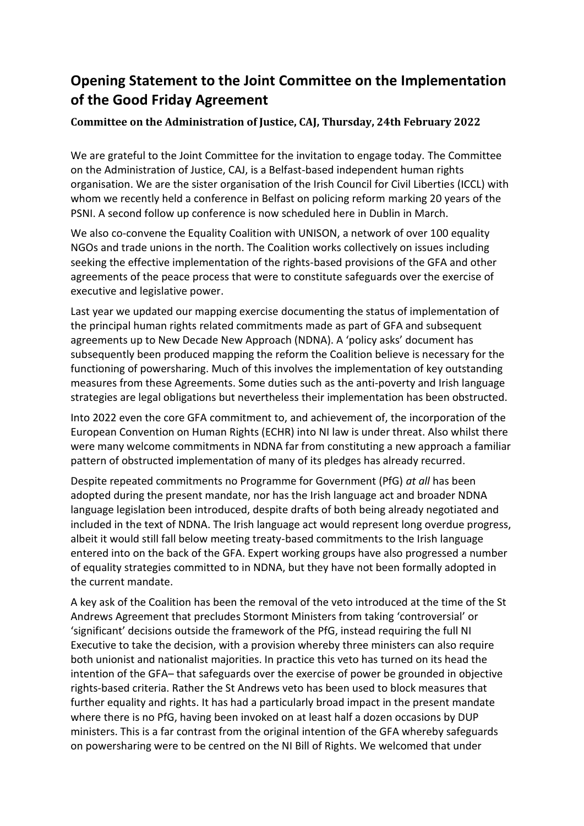## **Opening Statement to the Joint Committee on the Implementation of the Good Friday Agreement**

## **Committee on the Administration of Justice, CAJ, Thursday, 24th February 2022**

We are grateful to the Joint Committee for the invitation to engage today. The Committee on the Administration of Justice, CAJ, is a Belfast-based independent human rights organisation. We are the sister organisation of the Irish Council for Civil Liberties (ICCL) with whom we recently held a conference in Belfast on policing reform marking 20 years of the PSNI. A second follow up conference is now scheduled here in Dublin in March.

We also co-convene the Equality Coalition with UNISON, a network of over 100 equality NGOs and trade unions in the north. The Coalition works collectively on issues including seeking the effective implementation of the rights-based provisions of the GFA and other agreements of the peace process that were to constitute safeguards over the exercise of executive and legislative power.

Last year we updated our mapping exercise documenting the status of implementation of the principal human rights related commitments made as part of GFA and subsequent agreements up to New Decade New Approach (NDNA). A 'policy asks' document has subsequently been produced mapping the reform the Coalition believe is necessary for the functioning of powersharing. Much of this involves the implementation of key outstanding measures from these Agreements. Some duties such as the anti-poverty and Irish language strategies are legal obligations but nevertheless their implementation has been obstructed.

Into 2022 even the core GFA commitment to, and achievement of, the incorporation of the European Convention on Human Rights (ECHR) into NI law is under threat. Also whilst there were many welcome commitments in NDNA far from constituting a new approach a familiar pattern of obstructed implementation of many of its pledges has already recurred.

Despite repeated commitments no Programme for Government (PfG) *at all* has been adopted during the present mandate, nor has the Irish language act and broader NDNA language legislation been introduced, despite drafts of both being already negotiated and included in the text of NDNA. The Irish language act would represent long overdue progress, albeit it would still fall below meeting treaty-based commitments to the Irish language entered into on the back of the GFA. Expert working groups have also progressed a number of equality strategies committed to in NDNA, but they have not been formally adopted in the current mandate.

A key ask of the Coalition has been the removal of the veto introduced at the time of the St Andrews Agreement that precludes Stormont Ministers from taking 'controversial' or 'significant' decisions outside the framework of the PfG, instead requiring the full NI Executive to take the decision, with a provision whereby three ministers can also require both unionist and nationalist majorities. In practice this veto has turned on its head the intention of the GFA– that safeguards over the exercise of power be grounded in objective rights-based criteria. Rather the St Andrews veto has been used to block measures that further equality and rights. It has had a particularly broad impact in the present mandate where there is no PfG, having been invoked on at least half a dozen occasions by DUP ministers. This is a far contrast from the original intention of the GFA whereby safeguards on powersharing were to be centred on the NI Bill of Rights. We welcomed that under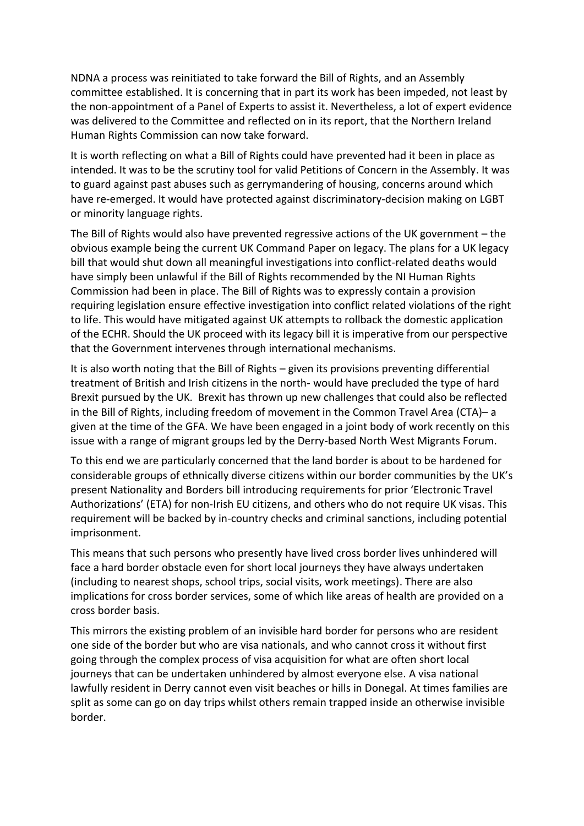NDNA a process was reinitiated to take forward the Bill of Rights, and an Assembly committee established. It is concerning that in part its work has been impeded, not least by the non-appointment of a Panel of Experts to assist it. Nevertheless, a lot of expert evidence was delivered to the Committee and reflected on in its report, that the Northern Ireland Human Rights Commission can now take forward.

It is worth reflecting on what a Bill of Rights could have prevented had it been in place as intended. It was to be the scrutiny tool for valid Petitions of Concern in the Assembly. It was to guard against past abuses such as gerrymandering of housing, concerns around which have re-emerged. It would have protected against discriminatory-decision making on LGBT or minority language rights.

The Bill of Rights would also have prevented regressive actions of the UK government – the obvious example being the current UK Command Paper on legacy. The plans for a UK legacy bill that would shut down all meaningful investigations into conflict-related deaths would have simply been unlawful if the Bill of Rights recommended by the NI Human Rights Commission had been in place. The Bill of Rights was to expressly contain a provision requiring legislation ensure effective investigation into conflict related violations of the right to life. This would have mitigated against UK attempts to rollback the domestic application of the ECHR. Should the UK proceed with its legacy bill it is imperative from our perspective that the Government intervenes through international mechanisms.

It is also worth noting that the Bill of Rights – given its provisions preventing differential treatment of British and Irish citizens in the north- would have precluded the type of hard Brexit pursued by the UK. Brexit has thrown up new challenges that could also be reflected in the Bill of Rights, including freedom of movement in the Common Travel Area (CTA)– a given at the time of the GFA. We have been engaged in a joint body of work recently on this issue with a range of migrant groups led by the Derry-based North West Migrants Forum.

To this end we are particularly concerned that the land border is about to be hardened for considerable groups of ethnically diverse citizens within our border communities by the UK's present Nationality and Borders bill introducing requirements for prior 'Electronic Travel Authorizations' (ETA) for non-Irish EU citizens, and others who do not require UK visas. This requirement will be backed by in-country checks and criminal sanctions, including potential imprisonment.

This means that such persons who presently have lived cross border lives unhindered will face a hard border obstacle even for short local journeys they have always undertaken (including to nearest shops, school trips, social visits, work meetings). There are also implications for cross border services, some of which like areas of health are provided on a cross border basis.

This mirrors the existing problem of an invisible hard border for persons who are resident one side of the border but who are visa nationals, and who cannot cross it without first going through the complex process of visa acquisition for what are often short local journeys that can be undertaken unhindered by almost everyone else. A visa national lawfully resident in Derry cannot even visit beaches or hills in Donegal. At times families are split as some can go on day trips whilst others remain trapped inside an otherwise invisible border.